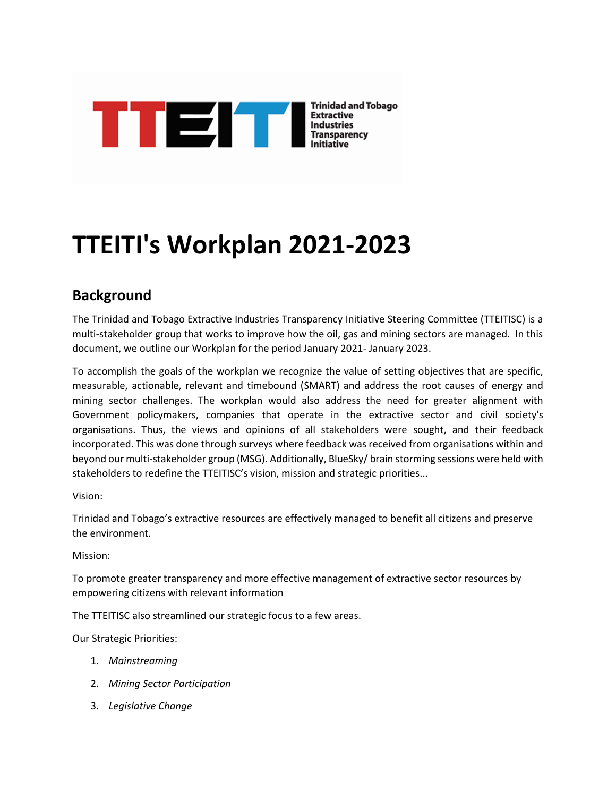

# **TTEITI's Workplan 2021-2023**

# **Background**

The Trinidad and Tobago Extractive Industries Transparency Initiative Steering Committee (TTEITISC) is a multi-stakeholder group that works to improve how the oil, gas and mining sectors are managed. In this document, we outline our Workplan for the period January 2021- January 2023.

To accomplish the goals of the workplan we recognize the value of setting objectives that are specific, measurable, actionable, relevant and timebound (SMART) and address the root causes of energy and mining sector challenges. The workplan would also address the need for greater alignment with Government policymakers, companies that operate in the extractive sector and civil society's organisations. Thus, the views and opinions of all stakeholders were sought, and their feedback incorporated. This was done through surveys where feedback was received from organisations within and beyond our multi-stakeholder group (MSG). Additionally, BlueSky/ brain storming sessions were held with stakeholders to redefine the TTEITISC's vision, mission and strategic priorities...

#### Vision:

Trinidad and Tobago's extractive resources are effectively managed to benefit all citizens and preserve the environment.

#### Mission:

To promote greater transparency and more effective management of extractive sector resources by empowering citizens with relevant information

The TTEITISC also streamlined our strategic focus to a few areas.

Our Strategic Priorities:

- 1. *Mainstreaming*
- 2. *Mining Sector Participation*
- 3. *Legislative Change*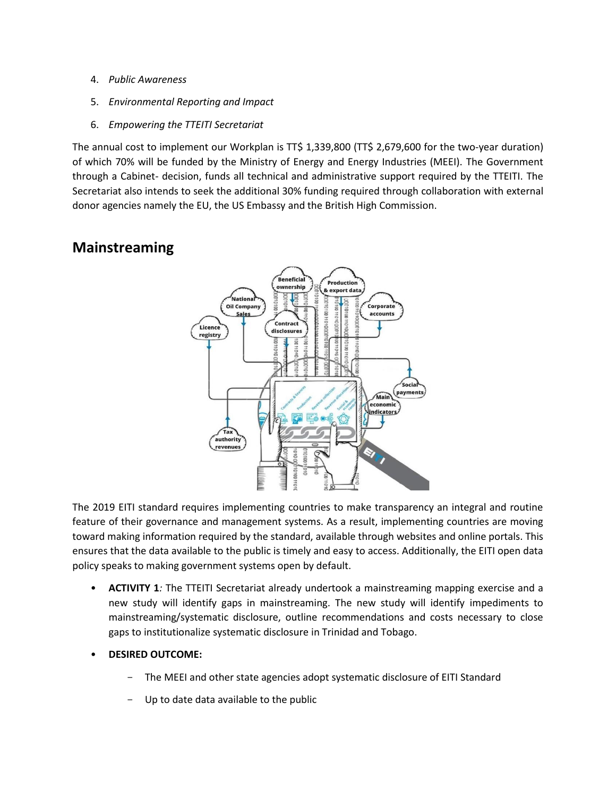- 4. *Public Awareness*
- 5. *Environmental Reporting and Impact*
- 6. *Empowering the TTEITI Secretariat*

The annual cost to implement our Workplan is TT\$ 1,339,800 (TT\$ 2,679,600 for the two-year duration) of which 70% will be funded by the Ministry of Energy and Energy Industries (MEEI). The Government through a Cabinet- decision, funds all technical and administrative support required by the TTEITI. The Secretariat also intends to seek the additional 30% funding required through collaboration with external donor agencies namely the EU, the US Embassy and the British High Commission.

## **Mainstreaming**



The 2019 EITI standard requires implementing countries to make transparency an integral and routine feature of their governance and management systems. As a result, implementing countries are moving toward making information required by the standard, available through websites and online portals. This ensures that the data available to the public is timely and easy to access. Additionally, the EITI open data policy speaks to making government systems open by default.

- **ACTIVITY 1***:* The TTEITI Secretariat already undertook a mainstreaming mapping exercise and a new study will identify gaps in mainstreaming. The new study will identify impediments to mainstreaming/systematic disclosure, outline recommendations and costs necessary to close gaps to institutionalize systematic disclosure in Trinidad and Tobago.
- **DESIRED OUTCOME:** 
	- The MEEI and other state agencies adopt systematic disclosure of EITI Standard
	- Up to date data available to the public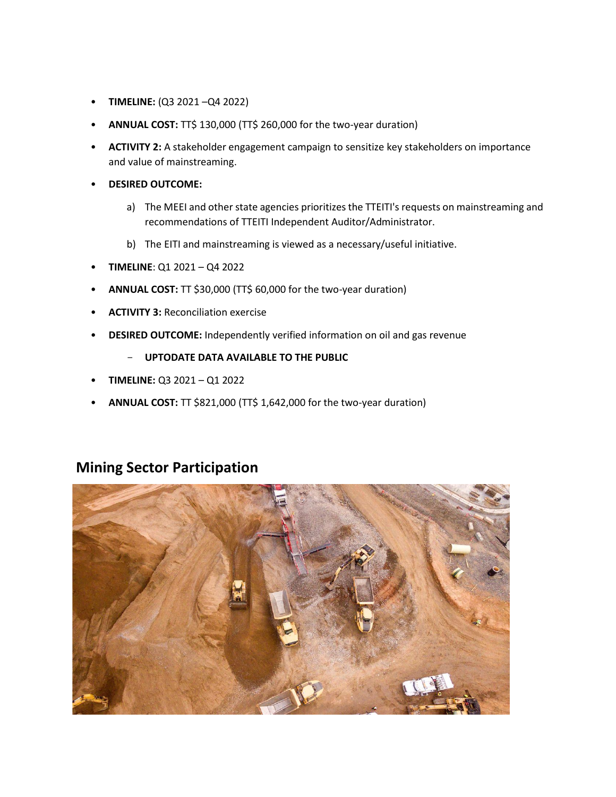- **TIMELINE:** (Q3 2021 –Q4 2022)
- **ANNUAL COST:** TT\$ 130,000 (TT\$ 260,000 for the two-year duration)
- **ACTIVITY 2:** A stakeholder engagement campaign to sensitize key stakeholders on importance and value of mainstreaming.
- **DESIRED OUTCOME:**
	- a) The MEEI and other state agencies prioritizes the TTEITI's requests on mainstreaming and recommendations of TTEITI Independent Auditor/Administrator.
	- b) The EITI and mainstreaming is viewed as a necessary/useful initiative.
- **TIMELINE**: Q1 2021 Q4 2022
- **ANNUAL COST:** TT \$30,000 (TT\$ 60,000 for the two-year duration)
- **ACTIVITY 3:** Reconciliation exercise
- **DESIRED OUTCOME:** Independently verified information on oil and gas revenue

#### - **UPTODATE DATA AVAILABLE TO THE PUBLIC**

- **TIMELINE:** Q3 2021 Q1 2022
- **ANNUAL COST:** TT \$821,000 (TT\$ 1,642,000 for the two-year duration)

#### **Mining Sector Participation**

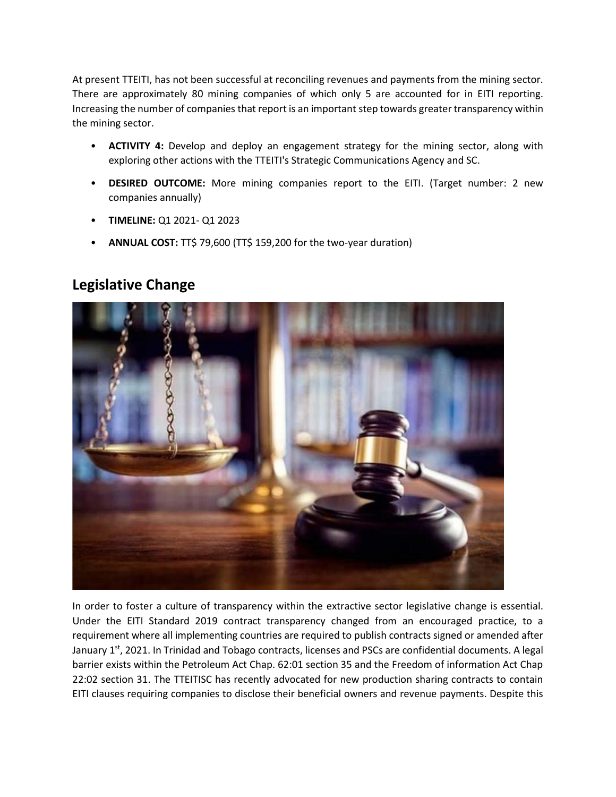At present TTEITI, has not been successful at reconciling revenues and payments from the mining sector. There are approximately 80 mining companies of which only 5 are accounted for in EITI reporting. Increasing the number of companies that report is an important step towards greater transparency within the mining sector.

- **ACTIVITY 4:** Develop and deploy an engagement strategy for the mining sector, along with exploring other actions with the TTEITI's Strategic Communications Agency and SC.
- **DESIRED OUTCOME:** More mining companies report to the EITI. (Target number: 2 new companies annually)
- **TIMELINE:** Q1 2021- Q1 2023
- **ANNUAL COST:** TT\$ 79,600 (TT\$ 159,200 for the two-year duration)

## **Legislative Change**



In order to foster a culture of transparency within the extractive sector legislative change is essential. Under the EITI Standard 2019 contract transparency changed from an encouraged practice, to a requirement where all implementing countries are required to publish contracts signed or amended after January 1<sup>st</sup>, 2021. In Trinidad and Tobago contracts, licenses and PSCs are confidential documents. A legal barrier exists within the Petroleum Act Chap. 62:01 section 35 and the Freedom of information Act Chap 22:02 section 31. The TTEITISC has recently advocated for new production sharing contracts to contain EITI clauses requiring companies to disclose their beneficial owners and revenue payments. Despite this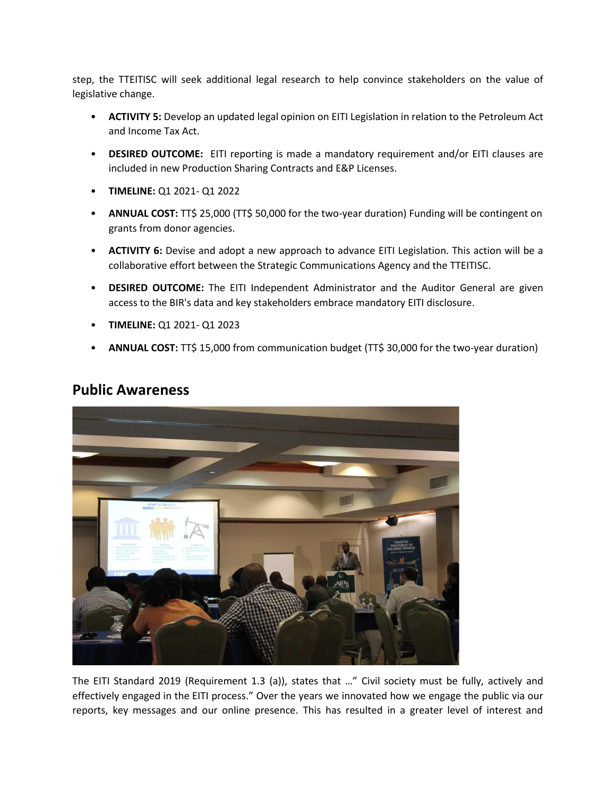step, the TTEITISC will seek additional legal research to help convince stakeholders on the value of legislative change.

- **ACTIVITY 5:** Develop an updated legal opinion on EITI Legislation in relation to the Petroleum Act and Income Tax Act.
- **DESIRED OUTCOME:** EITI reporting is made a mandatory requirement and/or EITI clauses are included in new Production Sharing Contracts and E&P Licenses.
- **TIMELINE:** Q1 2021- Q1 2022
- ANNUAL COST: TT\$ 25,000 (TT\$ 50,000 for the two-year duration) Funding will be contingent on grants from donor agencies.
- **ACTIVITY 6:** Devise and adopt a new approach to advance EITI Legislation. This action will be a collaborative effort between the Strategic Communications Agency and the TTEITISC.
- **DESIRED OUTCOME:** The EITI Independent Administrator and the Auditor General are given access to the BIR's data and key stakeholders embrace mandatory EITI disclosure.
- **TIMELINE:** Q1 2021- Q1 2023
- **ANNUAL COST:** TT\$ 15,000 from communication budget (TT\$ 30,000 for the two-year duration)



#### **Public Awareness**

The EITI Standard 2019 (Requirement 1.3 (a)), states that …" Civil society must be fully, actively and effectively engaged in the EITI process." Over the years we innovated how we engage the public via our reports, key messages and our online presence. This has resulted in a greater level of interest and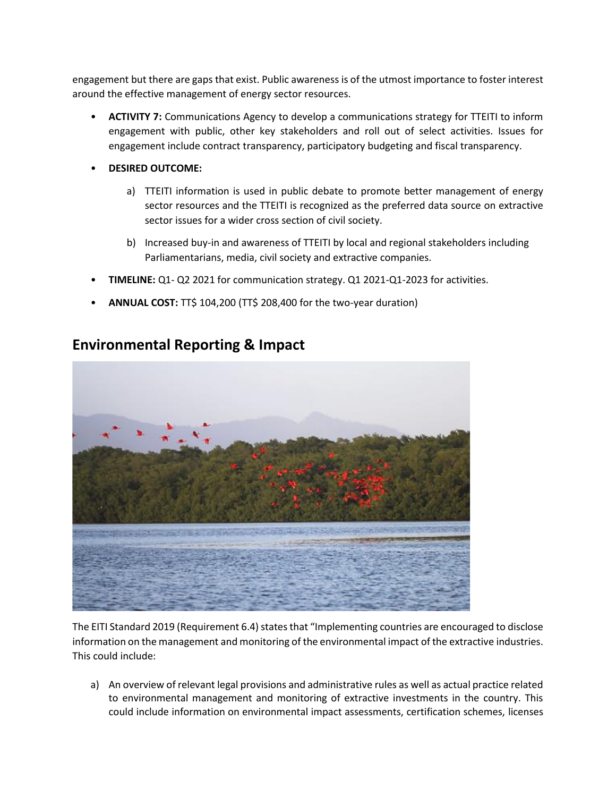engagement but there are gaps that exist. Public awareness is of the utmost importance to foster interest around the effective management of energy sector resources.

- **ACTIVITY 7:** Communications Agency to develop a communications strategy for TTEITI to inform engagement with public, other key stakeholders and roll out of select activities. Issues for engagement include contract transparency, participatory budgeting and fiscal transparency.
- **DESIRED OUTCOME:** 
	- a) TTEITI information is used in public debate to promote better management of energy sector resources and the TTEITI is recognized as the preferred data source on extractive sector issues for a wider cross section of civil society.
	- b) Increased buy-in and awareness of TTEITI by local and regional stakeholders including Parliamentarians, media, civil society and extractive companies.
- **TIMELINE:** Q1- Q2 2021 for communication strategy. Q1 2021-Q1-2023 for activities.
- **ANNUAL COST:** TT\$ 104,200 (TT\$ 208,400 for the two-year duration)



## **Environmental Reporting & Impact**

The EITI Standard 2019 (Requirement 6.4) states that "Implementing countries are encouraged to disclose information on the management and monitoring of the environmental impact of the extractive industries. This could include:

a) An overview of relevant legal provisions and administrative rules as well as actual practice related to environmental management and monitoring of extractive investments in the country. This could include information on environmental impact assessments, certification schemes, licenses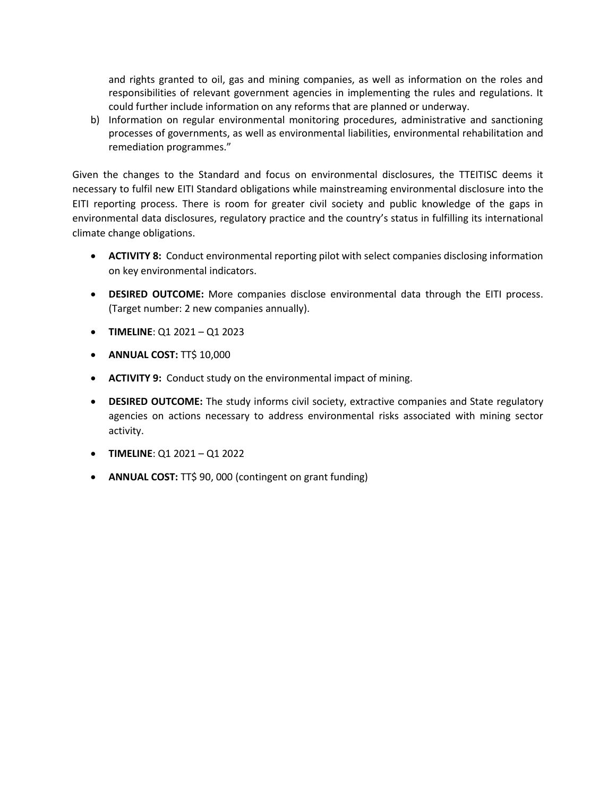and rights granted to oil, gas and mining companies, as well as information on the roles and responsibilities of relevant government agencies in implementing the rules and regulations. It could further include information on any reforms that are planned or underway.

b) Information on regular environmental monitoring procedures, administrative and sanctioning processes of governments, as well as environmental liabilities, environmental rehabilitation and remediation programmes."

Given the changes to the Standard and focus on environmental disclosures, the TTEITISC deems it necessary to fulfil new EITI Standard obligations while mainstreaming environmental disclosure into the EITI reporting process. There is room for greater civil society and public knowledge of the gaps in environmental data disclosures, regulatory practice and the country's status in fulfilling its international climate change obligations.

- **ACTIVITY 8:** Conduct environmental reporting pilot with select companies disclosing information on key environmental indicators.
- **DESIRED OUTCOME:** More companies disclose environmental data through the EITI process. (Target number: 2 new companies annually).
- **TIMELINE**: Q1 2021 Q1 2023
- **ANNUAL COST:** TT\$ 10,000
- **ACTIVITY 9:** Conduct study on the environmental impact of mining.
- **DESIRED OUTCOME:** The study informs civil society, extractive companies and State regulatory agencies on actions necessary to address environmental risks associated with mining sector activity.
- **TIMELINE**: Q1 2021 Q1 2022
- **ANNUAL COST:** TT\$ 90, 000 (contingent on grant funding)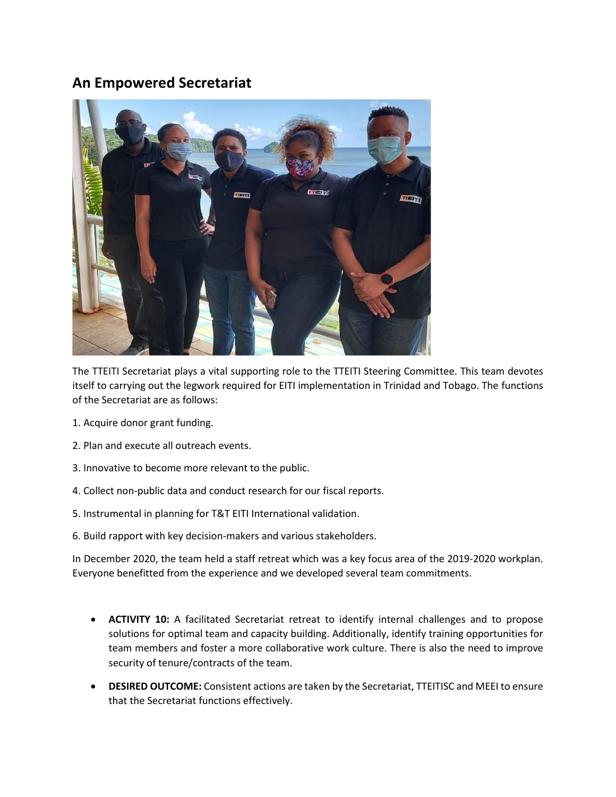#### **An Empowered Secretariat**



The TTEITI Secretariat plays a vital supporting role to the TTEITI Steering Committee. This team devotes itself to carrying out the legwork required for EITI implementation in Trinidad and Tobago. The functions of the Secretariat are as follows:

- 1. Acquire donor grant funding.
- 2. Plan and execute all outreach events.
- 3. Innovative to become more relevant to the public.
- 4. Collect non-public data and conduct research for our fiscal reports.
- 5. Instrumental in planning for T&T EITI International validation.
- 6. Build rapport with key decision-makers and various stakeholders.

In December 2020, the team held a staff retreat which was a key focus area of the 2019-2020 workplan. Everyone benefitted from the experience and we developed several team commitments.

- **ACTIVITY 10:** A facilitated Secretariat retreat to identify internal challenges and to propose solutions for optimal team and capacity building. Additionally, identify training opportunities for team members and foster a more collaborative work culture. There is also the need to improve security of tenure/contracts of the team.
- **DESIRED OUTCOME:** Consistent actions are taken by the Secretariat, TTEITISC and MEEI to ensure that the Secretariat functions effectively.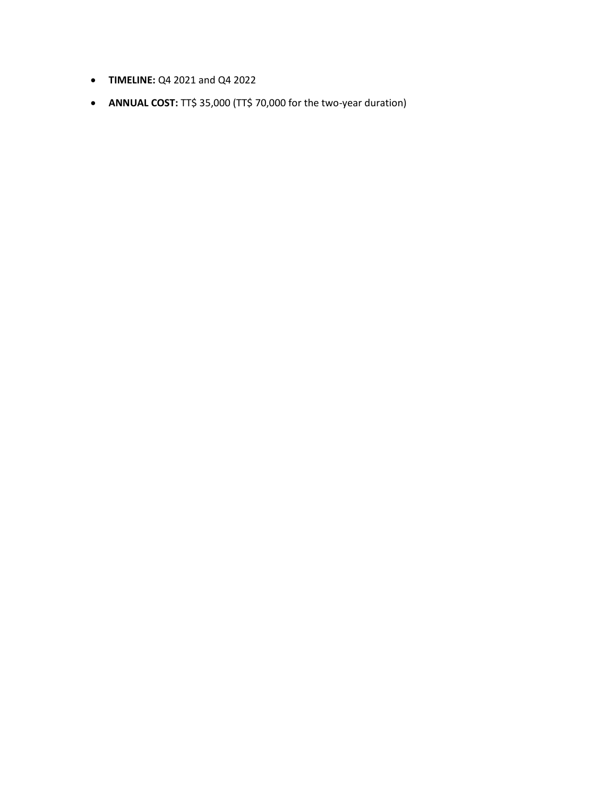- **TIMELINE:** Q4 2021 and Q4 2022
- **ANNUAL COST:** TT\$ 35,000 (TT\$ 70,000 for the two-year duration)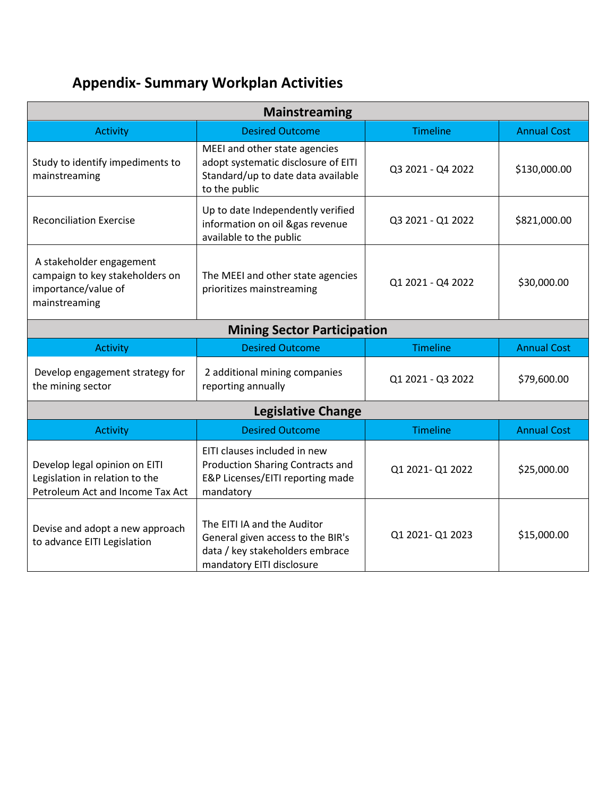# **Appendix- Summary Workplan Activities**

| Mainstreaming                                                                                       |                                                                                                                                  |                                   |                    |  |  |
|-----------------------------------------------------------------------------------------------------|----------------------------------------------------------------------------------------------------------------------------------|-----------------------------------|--------------------|--|--|
| <b>Activity</b>                                                                                     | <b>Desired Outcome</b>                                                                                                           | <b>Timeline</b>                   | <b>Annual Cost</b> |  |  |
| Study to identify impediments to<br>mainstreaming                                                   | MEEI and other state agencies<br>adopt systematic disclosure of EITI<br>Standard/up to date data available<br>to the public      | Q3 2021 - Q4 2022<br>\$130,000.00 |                    |  |  |
| <b>Reconciliation Exercise</b>                                                                      | Up to date Independently verified<br>information on oil &gas revenue<br>available to the public                                  | Q3 2021 - Q1 2022                 | \$821,000.00       |  |  |
| A stakeholder engagement<br>campaign to key stakeholders on<br>importance/value of<br>mainstreaming | The MEEI and other state agencies<br>prioritizes mainstreaming                                                                   | Q1 2021 - Q4 2022                 | \$30,000.00        |  |  |
| <b>Mining Sector Participation</b>                                                                  |                                                                                                                                  |                                   |                    |  |  |
| <b>Activity</b>                                                                                     | <b>Desired Outcome</b>                                                                                                           | <b>Timeline</b>                   | <b>Annual Cost</b> |  |  |
| Develop engagement strategy for<br>the mining sector                                                | 2 additional mining companies<br>reporting annually                                                                              | Q1 2021 - Q3 2022                 | \$79,600.00        |  |  |
| <b>Legislative Change</b>                                                                           |                                                                                                                                  |                                   |                    |  |  |
| <b>Activity</b>                                                                                     | <b>Desired Outcome</b>                                                                                                           | <b>Timeline</b>                   | <b>Annual Cost</b> |  |  |
| Develop legal opinion on EITI<br>Legislation in relation to the<br>Petroleum Act and Income Tax Act | EITI clauses included in new<br><b>Production Sharing Contracts and</b><br>E&P Licenses/EITI reporting made<br>mandatory         | Q1 2021-Q1 2022                   | \$25,000.00        |  |  |
| Devise and adopt a new approach<br>to advance EITI Legislation                                      | The EITI IA and the Auditor<br>General given access to the BIR's<br>data / key stakeholders embrace<br>mandatory EITI disclosure | \$15,000.00<br>Q1 2021-Q1 2023    |                    |  |  |